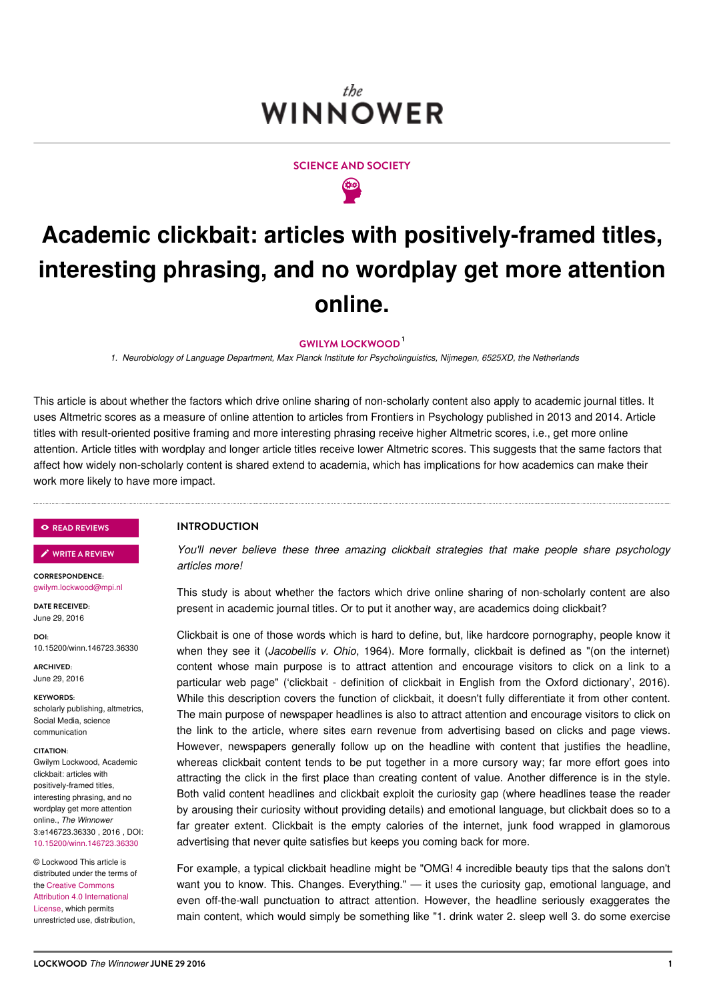# the. WINNOWER



# **Academic clickbait: articles with positively-framed titles, interesting phrasing, and no wordplay get more attention online.**

## **GWILYM [LOCKWOOD](/users/1398) 1**

*1. Neurobiology of Language Department, Max Planck Institute for Psycholinguistics, Nijmegen, 6525XD, the Netherlands*

This article is about whether the factors which drive online sharing of non-scholarly content also apply to academic journal titles. It uses Altmetric scores as a measure of online attention to articles from Frontiers in Psychology published in 2013 and 2014. Article titles with result-oriented positive framing and more interesting phrasing receive higher Altmetric scores, i.e., get more online attention. Article titles with wordplay and longer article titles receive lower Altmetric scores. This suggests that the same factors that affect how widely non-scholarly content is shared extend to academia, which has implications for how academics can make their work more likely to have more impact.

#### **READ [REVIEWS](https://thewinnower.com/papers/4892-academic-clickbait-articles-with-positively-framed-titles-interesting-phrasing-and-no-wordplay-get-more-attention-online#submit)**

**WRITE A [REVIEW](https://thewinnower.com/papers/4892-academic-clickbait-articles-with-positively-framed-titles-interesting-phrasing-and-no-wordplay-get-more-attention-online#submit)** ✎

**CORRESPONDENCE:** [gwilym.lockwood@mpi.nl](mailto:gwilym.lockwood@mpi.nl)

**DATE RECEIVED:** June 29, 2016

**DOI:** 10.15200/winn.146723.36330

**ARCHIVED:** June 29, 2016

**KEYWORDS:** scholarly publishing, altmetrics, Social Media, science communication

#### **CITATION:**

Gwilym Lockwood, Academic clickbait: articles with positively-framed titles, interesting phrasing, and no wordplay get more attention online., *The Winnower* 3:e146723.36330 2016 DOI: [10.15200/winn.146723.36330](https://dx.doi.org/10.15200/winn.146723.36330)

© Lockwood This article is distributed under the terms of the Creative Commons Attribution 4.0 [International](https://creativecommons.org/licenses/by/4.0/) License, which permits unrestricted use, distribution,

**INTRODUCTION**

*You'll never believe these three amazing clickbait strategies that make people share psychology articles more!*

This study is about whether the factors which drive online sharing of non-scholarly content are also present in academic journal titles. Or to put it another way, are academics doing clickbait?

Clickbait is one of those words which is hard to define, but, like hardcore pornography, people know it when they see it (*Jacobellis v. Ohio*, 1964). More formally, clickbait is defined as "(on the internet) content whose main purpose is to attract attention and encourage visitors to click on a link to a particular web page" ('clickbait - definition of clickbait in English from the Oxford dictionary', 2016). While this description covers the function of clickbait, it doesn't fully differentiate it from other content. The main purpose of newspaper headlines is also to attract attention and encourage visitors to click on the link to the article, where sites earn revenue from advertising based on clicks and page views. However, newspapers generally follow up on the headline with content that justifies the headline, whereas clickbait content tends to be put together in a more cursory way; far more effort goes into attracting the click in the first place than creating content of value. Another difference is in the style. Both valid content headlines and clickbait exploit the curiosity gap (where headlines tease the reader by arousing their curiosity without providing details) and emotional language, but clickbait does so to a far greater extent. Clickbait is the empty calories of the internet, junk food wrapped in glamorous advertising that never quite satisfies but keeps you coming back for more.

For example, a typical clickbait headline might be "OMG! 4 incredible beauty tips that the salons don't want you to know. This. Changes. Everything." — it uses the curiosity gap, emotional language, and even off-the-wall punctuation to attract attention. However, the headline seriously exaggerates the main content, which would simply be something like "1. drink water 2. sleep well 3. do some exercise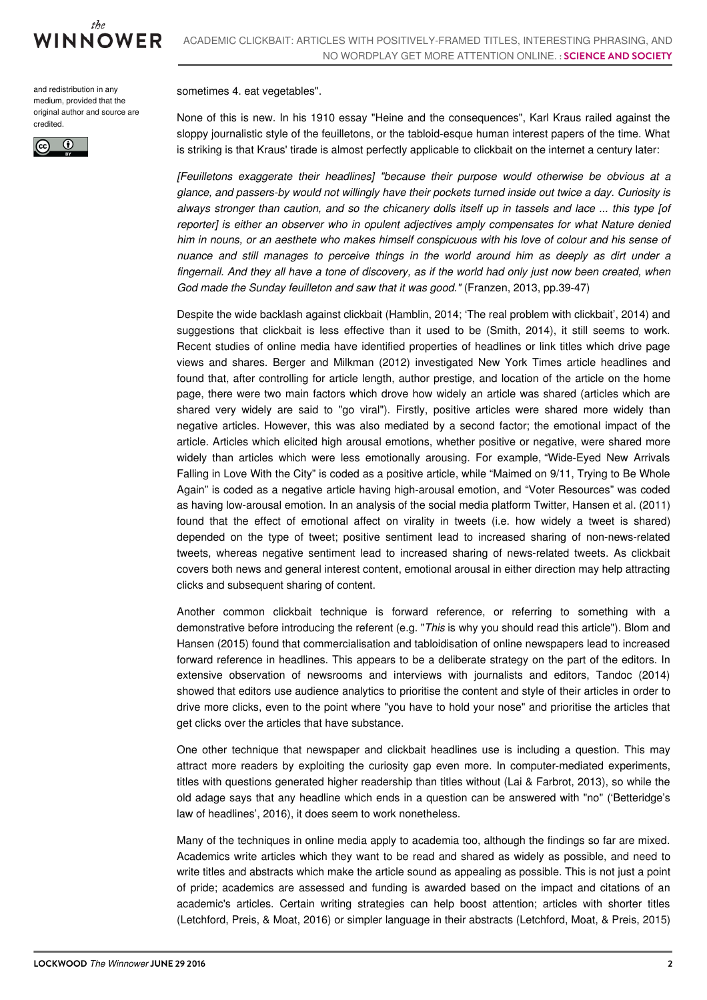

and redistribution in any medium, provided that the original author and source are credited.



sometimes 4. eat vegetables".

None of this is new. In his 1910 essay "Heine and the consequences", Karl Kraus railed against the sloppy journalistic style of the feuilletons, or the tabloid-esque human interest papers of the time. What is striking is that Kraus' tirade is almost perfectly applicable to clickbait on the internet a century later:

*[Feuilletons exaggerate their headlines] "because their purpose would otherwise be obvious at a glance, and passers-by would not willingly have their pockets turned inside out twice a day. Curiosity is* always stronger than caution, and so the chicanery dolls itself up in tassels and lace ... this type [of *reporter] is either an observer who in opulent adjectives amply compensates for what Nature denied* him in nouns, or an aesthete who makes himself conspicuous with his love of colour and his sense of *nuance and still manages to perceive things in the world around him as deeply as dirt under a* fingernail. And they all have a tone of discovery, as if the world had only just now been created, when *God made the Sunday feuilleton and saw that it was good."* (Franzen, 2013, pp.39-47)

Despite the wide backlash against clickbait (Hamblin, 2014; 'The real problem with clickbait', 2014) and suggestions that clickbait is less effective than it used to be (Smith, 2014), it still seems to work. Recent studies of online media have identified properties of headlines or link titles which drive page views and shares. Berger and Milkman (2012) investigated New York Times article headlines and found that, after controlling for article length, author prestige, and location of the article on the home page, there were two main factors which drove how widely an article was shared (articles which are shared very widely are said to "go viral"). Firstly, positive articles were shared more widely than negative articles. However, this was also mediated by a second factor; the emotional impact of the article. Articles which elicited high arousal emotions, whether positive or negative, were shared more widely than articles which were less emotionally arousing. For example, "Wide-Eyed New Arrivals Falling in Love With the City" is coded as a positive article, while "Maimed on 9/11, Trying to Be Whole Again" is coded as a negative article having high-arousal emotion, and "Voter Resources" was coded as having low-arousal emotion. In an analysis of the social media platform Twitter, Hansen et al. (2011) found that the effect of emotional affect on virality in tweets (i.e. how widely a tweet is shared) depended on the type of tweet; positive sentiment lead to increased sharing of non-news-related tweets, whereas negative sentiment lead to increased sharing of news-related tweets. As clickbait covers both news and general interest content, emotional arousal in either direction may help attracting clicks and subsequent sharing of content.

Another common clickbait technique is forward reference, or referring to something with a demonstrative before introducing the referent (e.g. "*This* is why you should read this article"). Blom and Hansen (2015) found that commercialisation and tabloidisation of online newspapers lead to increased forward reference in headlines. This appears to be a deliberate strategy on the part of the editors. In extensive observation of newsrooms and interviews with journalists and editors, Tandoc (2014) showed that editors use audience analytics to prioritise the content and style of their articles in order to drive more clicks, even to the point where "you have to hold your nose" and prioritise the articles that get clicks over the articles that have substance.

One other technique that newspaper and clickbait headlines use is including a question. This may attract more readers by exploiting the curiosity gap even more. In computer-mediated experiments, titles with questions generated higher readership than titles without (Lai & Farbrot, 2013), so while the old adage says that any headline which ends in a question can be answered with "no" ('Betteridge's law of headlines', 2016), it does seem to work nonetheless.

Many of the techniques in online media apply to academia too, although the findings so far are mixed. Academics write articles which they want to be read and shared as widely as possible, and need to write titles and abstracts which make the article sound as appealing as possible. This is not just a point of pride; academics are assessed and funding is awarded based on the impact and citations of an academic's articles. Certain writing strategies can help boost attention; articles with shorter titles (Letchford, Preis, & Moat, 2016) or simpler language in their abstracts (Letchford, Moat, & Preis, 2015)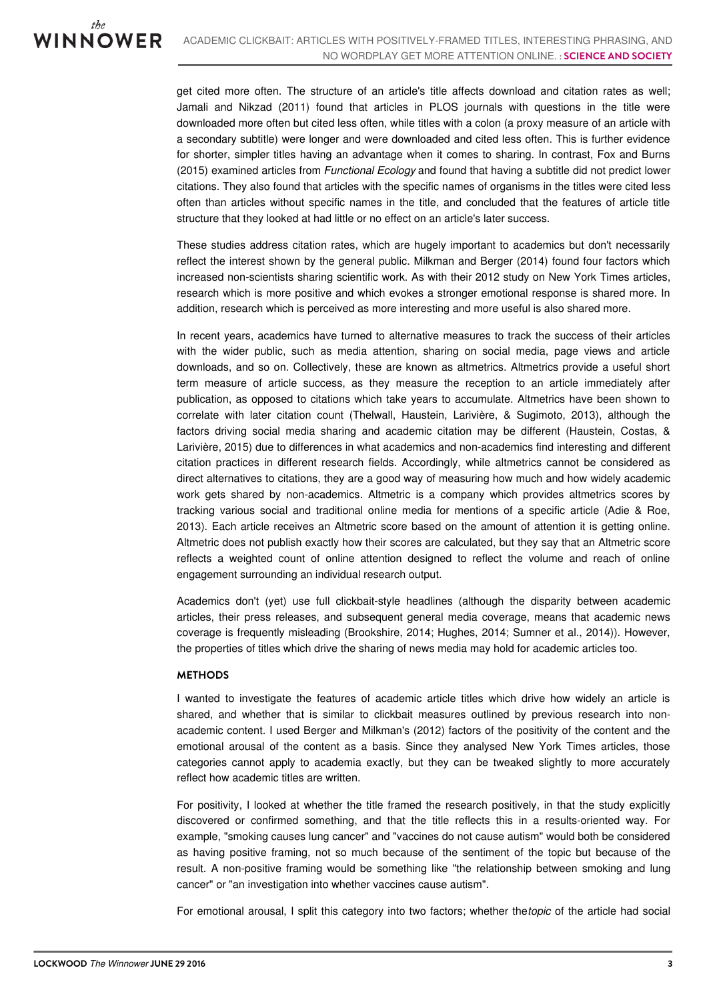get cited more often. The structure of an article's title affects download and citation rates as well; Jamali and Nikzad (2011) found that articles in PLOS journals with questions in the title were downloaded more often but cited less often, while titles with a colon (a proxy measure of an article with a secondary subtitle) were longer and were downloaded and cited less often. This is further evidence for shorter, simpler titles having an advantage when it comes to sharing. In contrast, Fox and Burns (2015) examined articles from *Functional Ecology* and found that having a subtitle did not predict lower citations. They also found that articles with the specific names of organisms in the titles were cited less often than articles without specific names in the title, and concluded that the features of article title structure that they looked at had little or no effect on an article's later success.

These studies address citation rates, which are hugely important to academics but don't necessarily reflect the interest shown by the general public. Milkman and Berger (2014) found four factors which increased non-scientists sharing scientific work. As with their 2012 study on New York Times articles, research which is more positive and which evokes a stronger emotional response is shared more. In addition, research which is perceived as more interesting and more useful is also shared more.

In recent years, academics have turned to alternative measures to track the success of their articles with the wider public, such as media attention, sharing on social media, page views and article downloads, and so on. Collectively, these are known as altmetrics. Altmetrics provide a useful short term measure of article success, as they measure the reception to an article immediately after publication, as opposed to citations which take years to accumulate. Altmetrics have been shown to correlate with later citation count (Thelwall, Haustein, Larivière, & Sugimoto, 2013), although the factors driving social media sharing and academic citation may be different (Haustein, Costas, & Larivière, 2015) due to differences in what academics and non-academics find interesting and different citation practices in different research fields. Accordingly, while altmetrics cannot be considered as direct alternatives to citations, they are a good way of measuring how much and how widely academic work gets shared by non-academics. Altmetric is a company which provides altmetrics scores by tracking various social and traditional online media for mentions of a specific article (Adie & Roe, 2013). Each article receives an Altmetric score based on the amount of attention it is getting online. Altmetric does not publish exactly how their scores are calculated, but they say that an Altmetric score reflects a weighted count of online attention designed to reflect the volume and reach of online engagement surrounding an individual research output.

Academics don't (yet) use full clickbait-style headlines (although the disparity between academic articles, their press releases, and subsequent general media coverage, means that academic news coverage is frequently misleading (Brookshire, 2014; Hughes, 2014; Sumner et al., 2014)). However, the properties of titles which drive the sharing of news media may hold for academic articles too.

#### **METHODS**

I wanted to investigate the features of academic article titles which drive how widely an article is shared, and whether that is similar to clickbait measures outlined by previous research into nonacademic content. I used Berger and Milkman's (2012) factors of the positivity of the content and the emotional arousal of the content as a basis. Since they analysed New York Times articles, those categories cannot apply to academia exactly, but they can be tweaked slightly to more accurately reflect how academic titles are written.

For positivity, I looked at whether the title framed the research positively, in that the study explicitly discovered or confirmed something, and that the title reflects this in a results-oriented way. For example, "smoking causes lung cancer" and "vaccines do not cause autism" would both be considered as having positive framing, not so much because of the sentiment of the topic but because of the result. A non-positive framing would be something like "the relationship between smoking and lung cancer" or "an investigation into whether vaccines cause autism".

For emotional arousal, I split this category into two factors; whether the*topic* of the article had social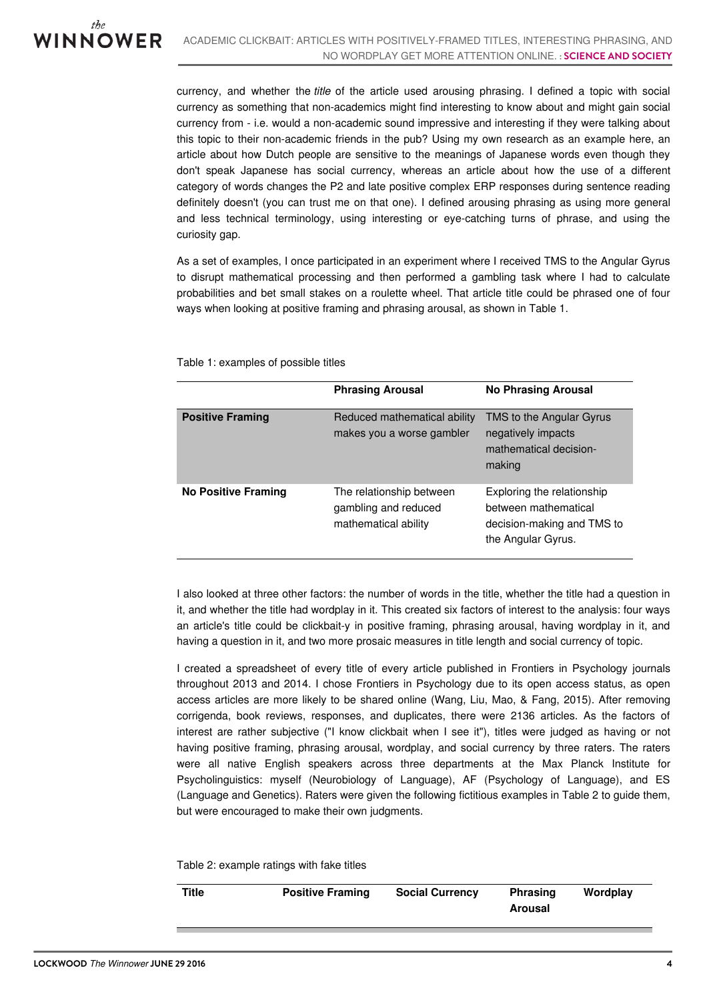currency, and whether the *title* of the article used arousing phrasing. I defined a topic with social currency as something that non-academics might find interesting to know about and might gain social currency from - i.e. would a non-academic sound impressive and interesting if they were talking about this topic to their non-academic friends in the pub? Using my own research as an example here, an article about how Dutch people are sensitive to the meanings of Japanese words even though they don't speak Japanese has social currency, whereas an article about how the use of a different category of words changes the P2 and late positive complex ERP responses during sentence reading definitely doesn't (you can trust me on that one). I defined arousing phrasing as using more general and less technical terminology, using interesting or eye-catching turns of phrase, and using the curiosity gap.

As a set of examples, I once participated in an experiment where I received TMS to the Angular Gyrus to disrupt mathematical processing and then performed a gambling task where I had to calculate probabilities and bet small stakes on a roulette wheel. That article title could be phrased one of four ways when looking at positive framing and phrasing arousal, as shown in Table 1.

|                         | <b>Phrasing Arousal</b>                                                  | <b>No Phrasing Arousal</b>                                                                             |
|-------------------------|--------------------------------------------------------------------------|--------------------------------------------------------------------------------------------------------|
| <b>Positive Framing</b> | Reduced mathematical ability<br>makes you a worse gambler                | TMS to the Angular Gyrus<br>negatively impacts<br>mathematical decision-<br>making                     |
| No Positive Framing     | The relationship between<br>gambling and reduced<br>mathematical ability | Exploring the relationship<br>between mathematical<br>decision-making and TMS to<br>the Angular Gyrus. |

Table 1: examples of possible titles

I also looked at three other factors: the number of words in the title, whether the title had a question in it, and whether the title had wordplay in it. This created six factors of interest to the analysis: four ways an article's title could be clickbait-y in positive framing, phrasing arousal, having wordplay in it, and having a question in it, and two more prosaic measures in title length and social currency of topic.

I created a spreadsheet of every title of every article published in Frontiers in Psychology journals throughout 2013 and 2014. I chose Frontiers in Psychology due to its open access status, as open access articles are more likely to be shared online (Wang, Liu, Mao, & Fang, 2015). After removing corrigenda, book reviews, responses, and duplicates, there were 2136 articles. As the factors of interest are rather subjective ("I know clickbait when I see it"), titles were judged as having or not having positive framing, phrasing arousal, wordplay, and social currency by three raters. The raters were all native English speakers across three departments at the Max Planck Institute for Psycholinguistics: myself (Neurobiology of Language), AF (Psychology of Language), and ES (Language and Genetics). Raters were given the following fictitious examples in Table 2 to guide them, but were encouraged to make their own judgments.

Table 2: example ratings with fake titles

| Title | <b>Positive Framing</b> | <b>Social Currency</b> | <b>Phrasing</b><br>Arousal | Wordplay |
|-------|-------------------------|------------------------|----------------------------|----------|
|       |                         |                        |                            |          |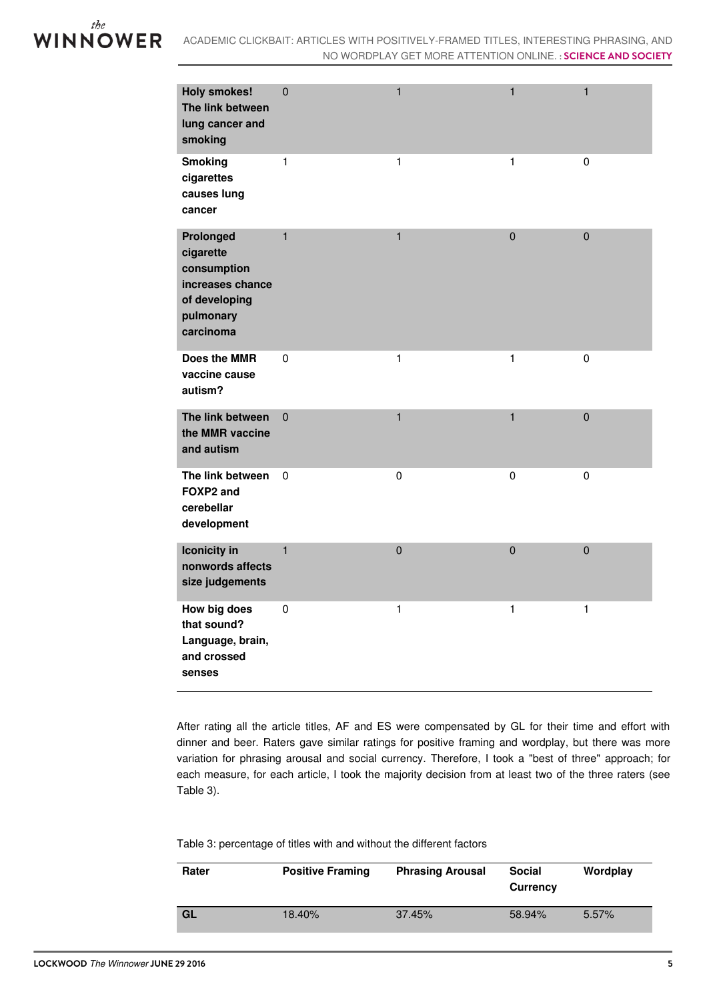

| <b>Holy smokes!</b><br>The link between<br>lung cancer and<br>smoking                                | $\overline{0}$ | $\mathbf{1}$ | $\mathbf{1}$   | $\mathbf{1}$   |
|------------------------------------------------------------------------------------------------------|----------------|--------------|----------------|----------------|
| <b>Smoking</b><br>cigarettes<br>causes lung<br>cancer                                                | $\mathbf{1}$   | $\mathbf{1}$ | $\mathbf{1}$   | $\mathbf 0$    |
| Prolonged<br>cigarette<br>consumption<br>increases chance<br>of developing<br>pulmonary<br>carcinoma | $\mathbf{1}$   | $\mathbf{1}$ | $\overline{0}$ | $\overline{0}$ |
| Does the MMR<br>vaccine cause<br>autism?                                                             | $\pmb{0}$      | $\mathbf{1}$ | $\mathbf{1}$   | $\pmb{0}$      |
| The link between<br>the MMR vaccine<br>and autism                                                    | $\mathbf 0$    | $\mathbf{1}$ | $\mathbf{1}$   | $\mathbf 0$    |
| The link between<br>FOXP2 and<br>cerebellar<br>development                                           | $\mathbf 0$    | $\pmb{0}$    | $\pmb{0}$      | $\mathbf 0$    |
| <b>Iconicity</b> in<br>nonwords affects<br>size judgements                                           | $\mathbf{1}$   | $\mathbf 0$  | $\overline{0}$ | $\mathbf 0$    |
| How big does<br>that sound?<br>Language, brain,<br>and crossed<br>senses                             | $\pmb{0}$      | $\mathbf{1}$ | $\mathbf{1}$   | $\mathbf{1}$   |

After rating all the article titles, AF and ES were compensated by GL for their time and effort with dinner and beer. Raters gave similar ratings for positive framing and wordplay, but there was more variation for phrasing arousal and social currency. Therefore, I took a "best of three" approach; for each measure, for each article, I took the majority decision from at least two of the three raters (see Table 3).

Table 3: percentage of titles with and without the different factors

| Rater     | <b>Positive Framing</b> | <b>Phrasing Arousal</b> | <b>Social</b><br><b>Currency</b> | Wordplay |
|-----------|-------------------------|-------------------------|----------------------------------|----------|
| <b>GL</b> | 18.40%                  | 37.45%                  | 58.94%                           | 5.57%    |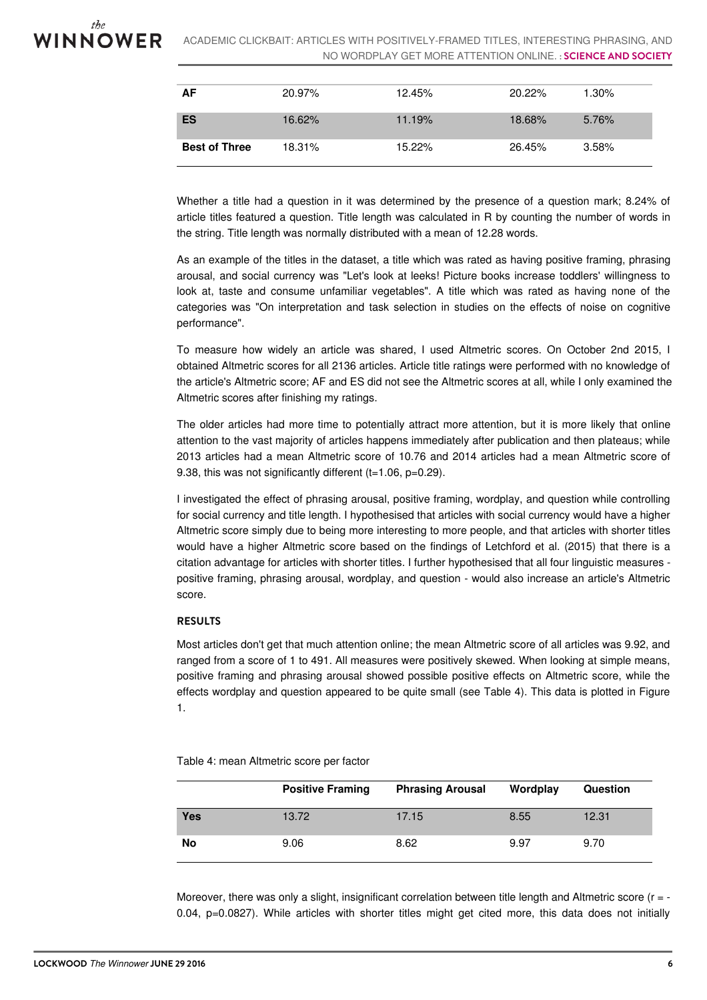

| AF                   | 20.97% | 12.45% | 20.22% | $1.30\%$ |
|----------------------|--------|--------|--------|----------|
| <b>ES</b>            | 16.62% | 11.19% | 18.68% | 5.76%    |
| <b>Best of Three</b> | 18.31% | 15.22% | 26.45% | 3.58%    |

Whether a title had a question in it was determined by the presence of a question mark; 8.24% of article titles featured a question. Title length was calculated in R by counting the number of words in the string. Title length was normally distributed with a mean of 12.28 words.

As an example of the titles in the dataset, a title which was rated as having positive framing, phrasing arousal, and social currency was "Let's look at leeks! Picture books increase toddlers' willingness to look at, taste and consume unfamiliar vegetables". A title which was rated as having none of the categories was "On interpretation and task selection in studies on the effects of noise on cognitive performance".

To measure how widely an article was shared, I used Altmetric scores. On October 2nd 2015, I obtained Altmetric scores for all 2136 articles. Article title ratings were performed with no knowledge of the article's Altmetric score; AF and ES did not see the Altmetric scores at all, while I only examined the Altmetric scores after finishing my ratings.

The older articles had more time to potentially attract more attention, but it is more likely that online attention to the vast majority of articles happens immediately after publication and then plateaus; while 2013 articles had a mean Altmetric score of 10.76 and 2014 articles had a mean Altmetric score of 9.38, this was not significantly different (t=1.06, p=0.29).

I investigated the effect of phrasing arousal, positive framing, wordplay, and question while controlling for social currency and title length. I hypothesised that articles with social currency would have a higher Altmetric score simply due to being more interesting to more people, and that articles with shorter titles would have a higher Altmetric score based on the findings of Letchford et al. (2015) that there is a citation advantage for articles with shorter titles. I further hypothesised that all four linguistic measures positive framing, phrasing arousal, wordplay, and question - would also increase an article's Altmetric score.

### **RESULTS**

Most articles don't get that much attention online; the mean Altmetric score of all articles was 9.92, and ranged from a score of 1 to 491. All measures were positively skewed. When looking at simple means, positive framing and phrasing arousal showed possible positive effects on Altmetric score, while the effects wordplay and question appeared to be quite small (see Table 4). This data is plotted in Figure 1.

Table 4: mean Altmetric score per factor

|     | <b>Positive Framing</b> | <b>Phrasing Arousal</b> | Wordplay | Question |
|-----|-------------------------|-------------------------|----------|----------|
| Yes | 13.72                   | 17.15                   | 8.55     | 12.31    |
| No  | 9.06                    | 8.62                    | 9.97     | 9.70     |

Moreover, there was only a slight, insignificant correlation between title length and Altmetric score (r = -0.04, p=0.0827). While articles with shorter titles might get cited more, this data does not initially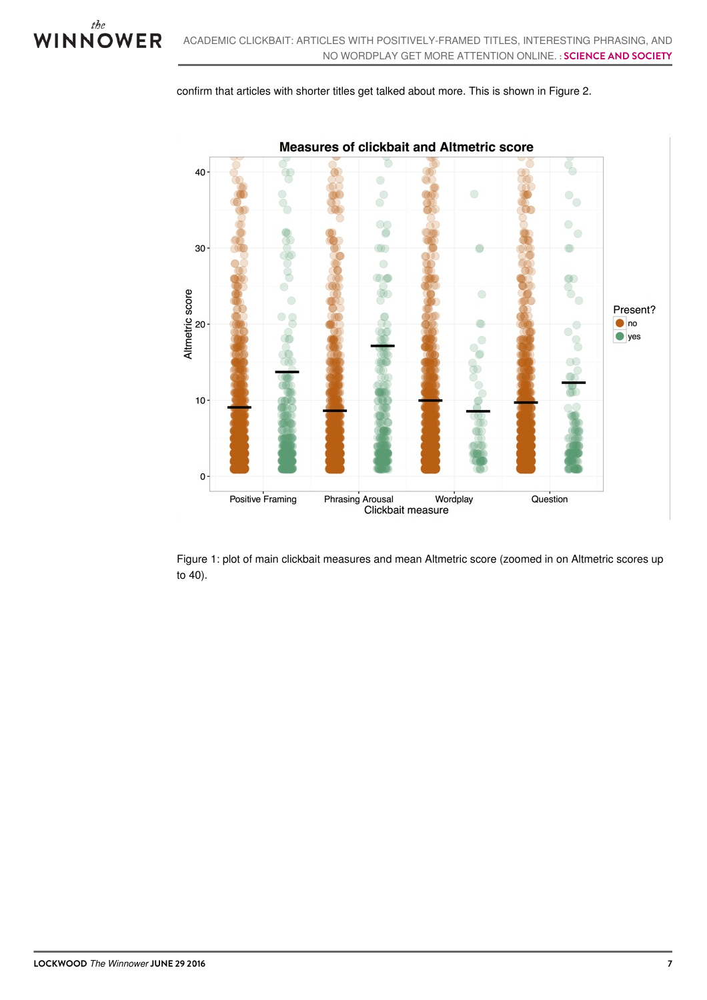



Figure 1: plot of main clickbait measures and mean Altmetric score (zoomed in on Altmetric scores up to 40).

the VINNOWER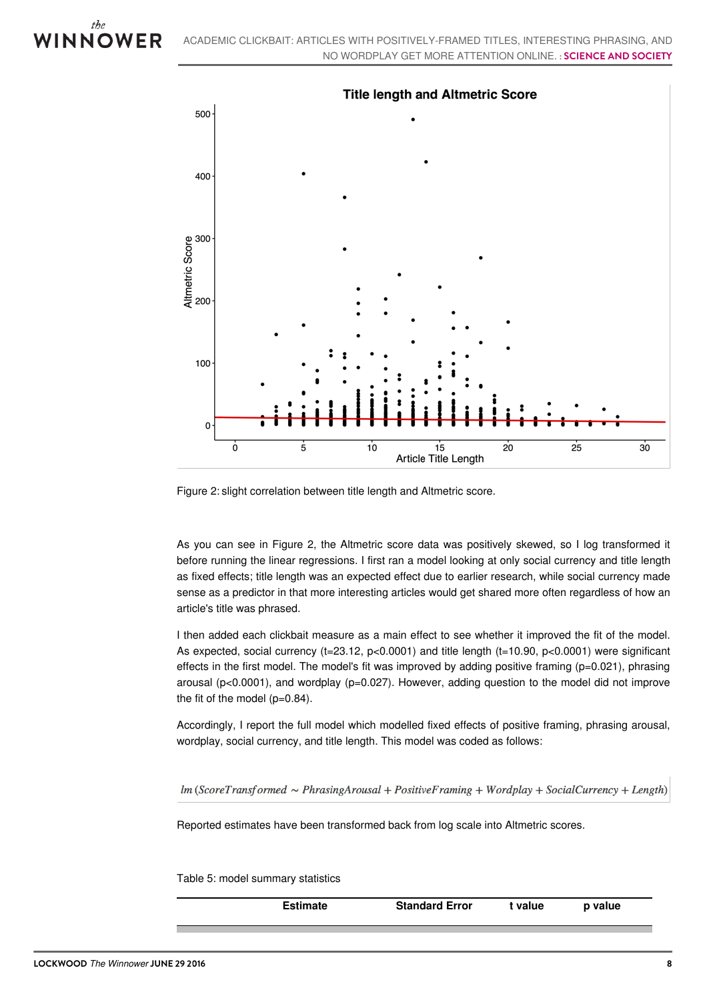



Figure 2: slight correlation between title length and Altmetric score.

As you can see in Figure 2, the Altmetric score data was positively skewed, so I log transformed it before running the linear regressions. I first ran a model looking at only social currency and title length as fixed effects; title length was an expected effect due to earlier research, while social currency made sense as a predictor in that more interesting articles would get shared more often regardless of how an article's title was phrased.

I then added each clickbait measure as a main effect to see whether it improved the fit of the model. As expected, social currency (t=23.12, p<0.0001) and title length (t=10.90, p<0.0001) were significant effects in the first model. The model's fit was improved by adding positive framing  $(p=0.021)$ , phrasing arousal ( $p<0.0001$ ), and wordplay ( $p=0.027$ ). However, adding question to the model did not improve the fit of the model (p=0.84).

Accordingly, I report the full model which modelled fixed effects of positive framing, phrasing arousal, wordplay, social currency, and title length. This model was coded as follows:

 $lm$  (ScoreTransformed  $\sim$  PhrasingArousal + PositiveFraming + Wordplay + SocialCurrency + Length)

Reported estimates have been transformed back from log scale into Altmetric scores.

Table 5: model summary statistics

**Estimate Standard Error t value p value**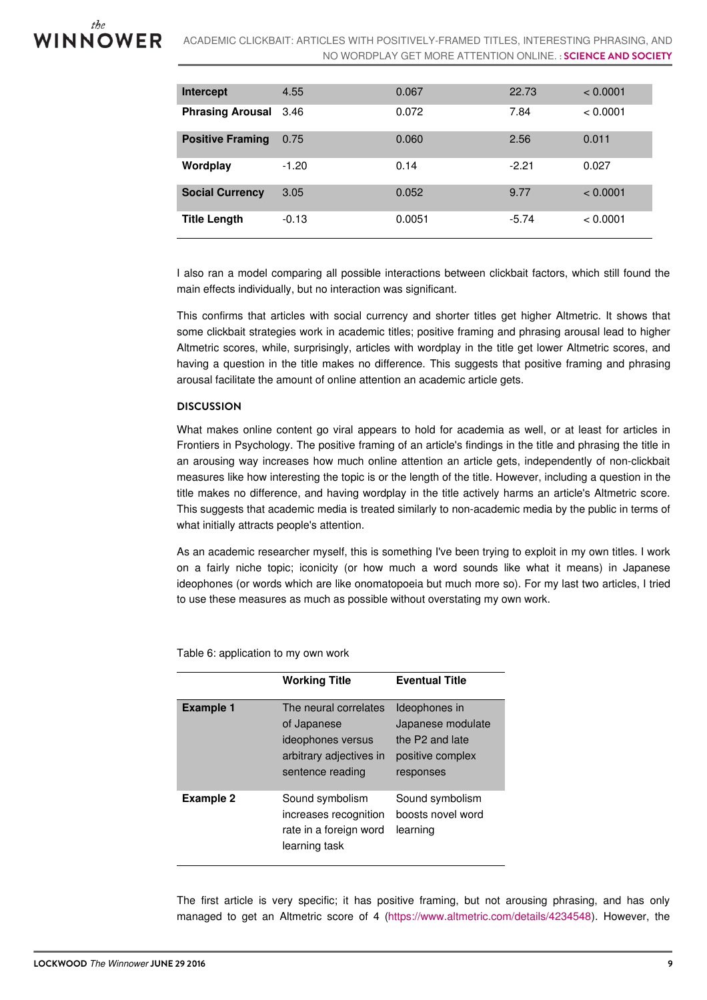ACADEMIC CLICKBAIT: ARTICLES WITH POSITIVELY-FRAMED TITLES, INTERESTING PHRASING, AND NO WORDPLAY GET MORE ATTENTION ONLINE. **: SCIENCE AND SOCIETY**

| Intercept                    | 4.55    | 0.067  | 22.73   | < 0.0001 |
|------------------------------|---------|--------|---------|----------|
| <b>Phrasing Arousal</b> 3.46 |         | 0.072  | 7.84    | < 0.0001 |
| <b>Positive Framing</b>      | 0.75    | 0.060  | 2.56    | 0.011    |
| Wordplay                     | $-1.20$ | 0.14   | $-2.21$ | 0.027    |
| <b>Social Currency</b>       | 3.05    | 0.052  | 9.77    | < 0.0001 |
| <b>Title Length</b>          | $-0.13$ | 0.0051 | $-5.74$ | < 0.0001 |

I also ran a model comparing all possible interactions between clickbait factors, which still found the main effects individually, but no interaction was significant.

This confirms that articles with social currency and shorter titles get higher Altmetric. It shows that some clickbait strategies work in academic titles; positive framing and phrasing arousal lead to higher Altmetric scores, while, surprisingly, articles with wordplay in the title get lower Altmetric scores, and having a question in the title makes no difference. This suggests that positive framing and phrasing arousal facilitate the amount of online attention an academic article gets.

#### **DISCUSSION**

What makes online content go viral appears to hold for academia as well, or at least for articles in Frontiers in Psychology. The positive framing of an article's findings in the title and phrasing the title in an arousing way increases how much online attention an article gets, independently of non-clickbait measures like how interesting the topic is or the length of the title. However, including a question in the title makes no difference, and having wordplay in the title actively harms an article's Altmetric score. This suggests that academic media is treated similarly to non-academic media by the public in terms of what initially attracts people's attention.

As an academic researcher myself, this is something I've been trying to exploit in my own titles. I work on a fairly niche topic; iconicity (or how much a word sounds like what it means) in Japanese ideophones (or words which are like onomatopoeia but much more so). For my last two articles, I tried to use these measures as much as possible without overstating my own work.

|                  | <b>Working Title</b>                                                                                     | <b>Eventual Title</b>                                                                  |
|------------------|----------------------------------------------------------------------------------------------------------|----------------------------------------------------------------------------------------|
| <b>Example 1</b> | The neural correlates<br>of Japanese<br>ideophones versus<br>arbitrary adjectives in<br>sentence reading | Ideophones in<br>Japanese modulate<br>the P2 and late<br>positive complex<br>responses |
| Example 2        | Sound symbolism<br>increases recognition<br>rate in a foreign word<br>learning task                      | Sound symbolism<br>boosts novel word<br>learning                                       |

Table 6: application to my own work

The first article is very specific; it has positive framing, but not arousing phrasing, and has only managed to get an Altmetric score of 4 [\(https://www.altmetric.com/details/4234548](https://www.altmetric.com/details/4234548)). However, the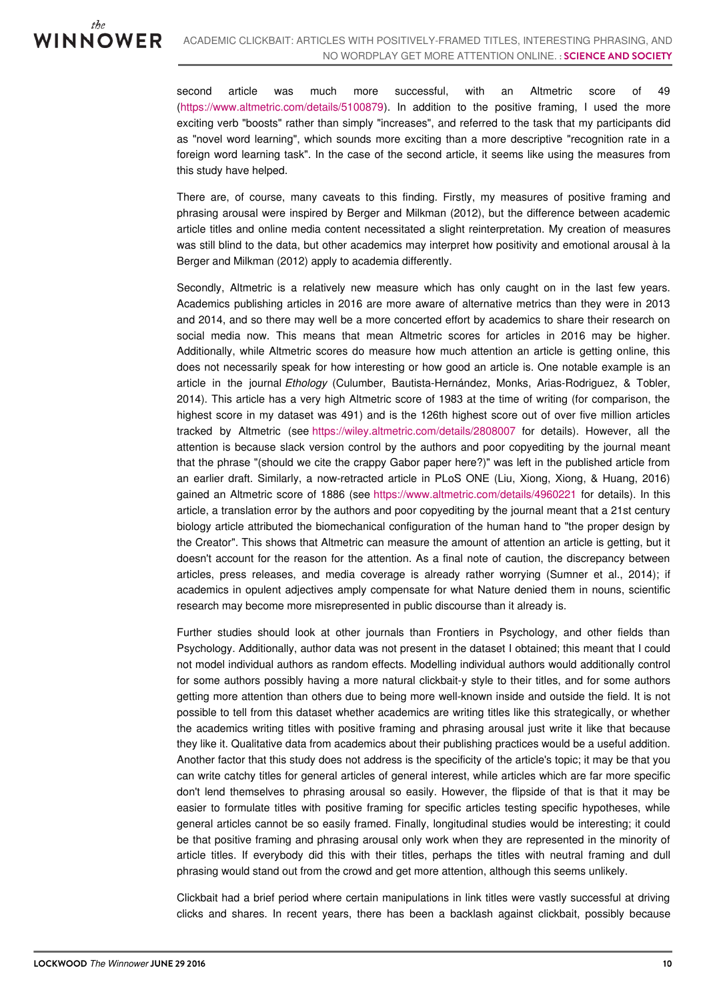second article was much more successful, with an Altmetric score of 49 [\(https://www.altmetric.com/details/5100879](https://www.altmetric.com/details/5100879)). In addition to the positive framing, I used the more exciting verb "boosts" rather than simply "increases", and referred to the task that my participants did as "novel word learning", which sounds more exciting than a more descriptive "recognition rate in a foreign word learning task". In the case of the second article, it seems like using the measures from this study have helped.

There are, of course, many caveats to this finding. Firstly, my measures of positive framing and phrasing arousal were inspired by Berger and Milkman (2012), but the difference between academic article titles and online media content necessitated a slight reinterpretation. My creation of measures was still blind to the data, but other academics may interpret how positivity and emotional arousal à la Berger and Milkman (2012) apply to academia differently.

Secondly, Altmetric is a relatively new measure which has only caught on in the last few years. Academics publishing articles in 2016 are more aware of alternative metrics than they were in 2013 and 2014, and so there may well be a more concerted effort by academics to share their research on social media now. This means that mean Altmetric scores for articles in 2016 may be higher. Additionally, while Altmetric scores do measure how much attention an article is getting online, this does not necessarily speak for how interesting or how good an article is. One notable example is an article in the journal *Ethology* (Culumber, Bautista-Hernández, Monks, Arias-Rodriguez, & Tobler, 2014). This article has a very high Altmetric score of 1983 at the time of writing (for comparison, the highest score in my dataset was 491) and is the 126th highest score out of over five million articles tracked by Altmetric (see <https://wiley.altmetric.com/details/2808007> for details). However, all the attention is because slack version control by the authors and poor copyediting by the journal meant that the phrase "(should we cite the crappy Gabor paper here?)" was left in the published article from an earlier draft. Similarly, a now-retracted article in PLoS ONE (Liu, Xiong, Xiong, & Huang, 2016) gained an Altmetric score of 1886 (see <https://www.altmetric.com/details/4960221> for details). In this article, a translation error by the authors and poor copyediting by the journal meant that a 21st century biology article attributed the biomechanical configuration of the human hand to "the proper design by the Creator". This shows that Altmetric can measure the amount of attention an article is getting, but it doesn't account for the reason for the attention. As a final note of caution, the discrepancy between articles, press releases, and media coverage is already rather worrying (Sumner et al., 2014); if academics in opulent adjectives amply compensate for what Nature denied them in nouns, scientific research may become more misrepresented in public discourse than it already is.

Further studies should look at other journals than Frontiers in Psychology, and other fields than Psychology. Additionally, author data was not present in the dataset I obtained; this meant that I could not model individual authors as random effects. Modelling individual authors would additionally control for some authors possibly having a more natural clickbait-y style to their titles, and for some authors getting more attention than others due to being more well-known inside and outside the field. It is not possible to tell from this dataset whether academics are writing titles like this strategically, or whether the academics writing titles with positive framing and phrasing arousal just write it like that because they like it. Qualitative data from academics about their publishing practices would be a useful addition. Another factor that this study does not address is the specificity of the article's topic; it may be that you can write catchy titles for general articles of general interest, while articles which are far more specific don't lend themselves to phrasing arousal so easily. However, the flipside of that is that it may be easier to formulate titles with positive framing for specific articles testing specific hypotheses, while general articles cannot be so easily framed. Finally, longitudinal studies would be interesting; it could be that positive framing and phrasing arousal only work when they are represented in the minority of article titles. If everybody did this with their titles, perhaps the titles with neutral framing and dull phrasing would stand out from the crowd and get more attention, although this seems unlikely.

Clickbait had a brief period where certain manipulations in link titles were vastly successful at driving clicks and shares. In recent years, there has been a backlash against clickbait, possibly because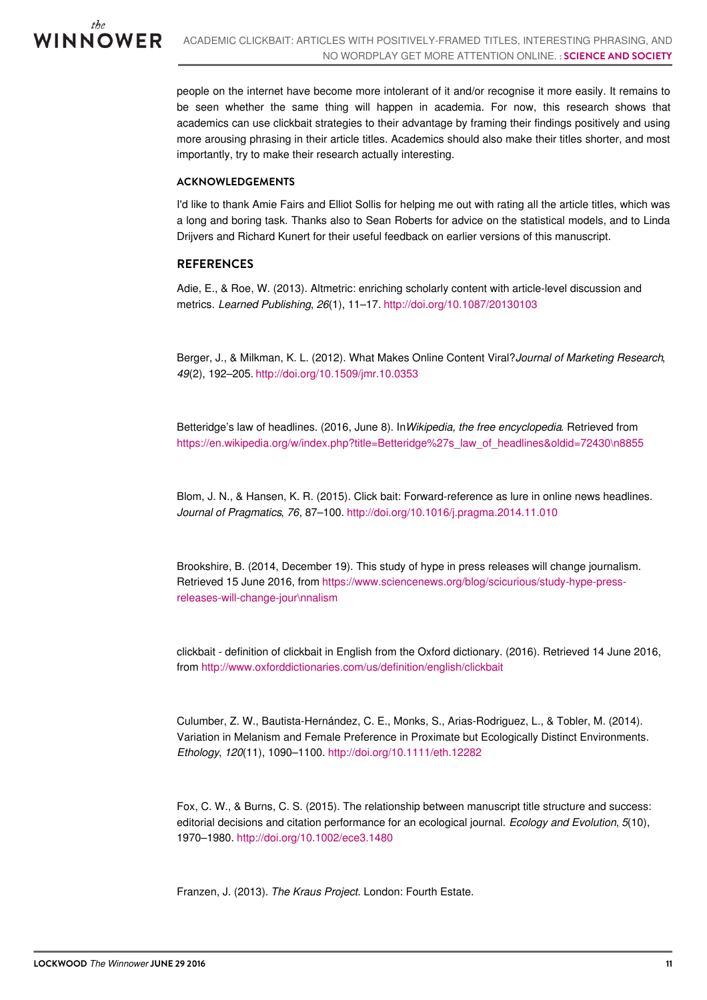

people on the internet have become more intolerant of it and/or recognise it more easily. It remains to be seen whether the same thing will happen in academia. For now, this research shows that academics can use clickbait strategies to their advantage by framing their findings positively and using more arousing phrasing in their article titles. Academics should also make their titles shorter, and most importantly, try to make their research actually interesting.

#### **ACKNOWLEDGEMENTS**

I'd like to thank Amie Fairs and Elliot Sollis for helping me out with rating all the article titles, which was a long and boring task. Thanks also to Sean Roberts for advice on the statistical models, and to Linda Drijvers and Richard Kunert for their useful feedback on earlier versions of this manuscript.

#### **REFERENCES**

Adie, E., & Roe, W. (2013). Altmetric: enriching scholarly content with article-level discussion and metrics. *Learned Publishing*, *26*(1), 11–17. <http://doi.org/10.1087/20130103>

Berger, J., & Milkman, K. L. (2012). What Makes Online Content Viral?*Journal of Marketing Research*, *49*(2), 192–205. <http://doi.org/10.1509/jmr.10.0353>

Betteridge's law of headlines. (2016, June 8). In*Wikipedia, the free encyclopedia*. Retrieved from [https://en.wikipedia.org/w/index.php?title=Betteridge%27s\\_law\\_of\\_headlines&oldid=72430\n8855](https://en.wikipedia.org/w/index.php?title=Betteridge%27s_law_of_headlines&oldid=724308855)

Blom, J. N., & Hansen, K. R. (2015). Click bait: Forward-reference as lure in online news headlines. *Journal of Pragmatics*, *76*, 87–100. <http://doi.org/10.1016/j.pragma.2014.11.010>

Brookshire, B. (2014, December 19). This study of hype in press releases will change journalism. Retrieved 15 June 2016, from [https://www.sciencenews.org/blog/scicurious/study-hype-press](https://www.sciencenews.org/blog/scicurious/study-hype-press-releases-will-change-journalism)releases-will-change-jour\nnalism

clickbait - definition of clickbait in English from the Oxford dictionary. (2016). Retrieved 14 June 2016, from <http://www.oxforddictionaries.com/us/definition/english/clickbait>

Culumber, Z. W., Bautista-Hernández, C. E., Monks, S., Arias-Rodriguez, L., & Tobler, M. (2014). Variation in Melanism and Female Preference in Proximate but Ecologically Distinct Environments. *Ethology*, *120*(11), 1090–1100. <http://doi.org/10.1111/eth.12282>

Fox, C. W., & Burns, C. S. (2015). The relationship between manuscript title structure and success: editorial decisions and citation performance for an ecological journal. *Ecology and Evolution*, *5*(10), 1970–1980. <http://doi.org/10.1002/ece3.1480>

Franzen, J. (2013). *The Kraus Project*. London: Fourth Estate.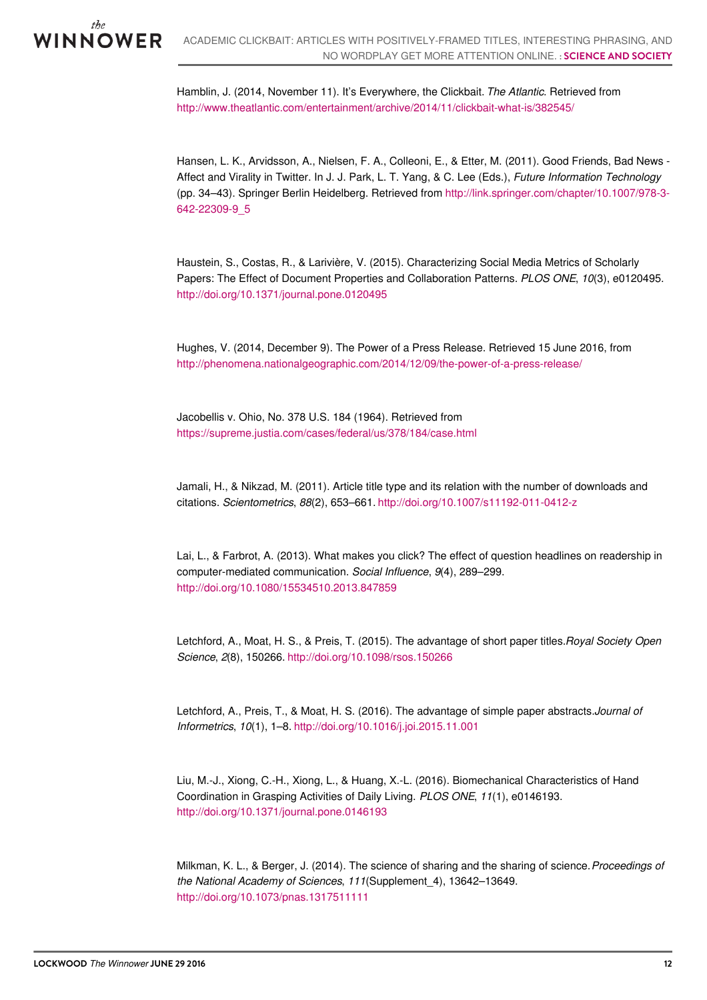

Hamblin, J. (2014, November 11). It's Everywhere, the Clickbait. *The Atlantic*. Retrieved from <http://www.theatlantic.com/entertainment/archive/2014/11/clickbait-what-is/382545/>

Hansen, L. K., Arvidsson, A., Nielsen, F. A., Colleoni, E., & Etter, M. (2011). Good Friends, Bad News - Affect and Virality in Twitter. In J. J. Park, L. T. Yang, & C. Lee (Eds.), *Future Information Technology* (pp. 34–43). Springer Berlin Heidelberg. Retrieved from [http://link.springer.com/chapter/10.1007/978-3-](http://link.springer.com/chapter/10.1007/978-3-642-22309-9_5) 642-22309-9\_5

Haustein, S., Costas, R., & Larivière, V. (2015). Characterizing Social Media Metrics of Scholarly Papers: The Effect of Document Properties and Collaboration Patterns. *PLOS ONE*, *10*(3), e0120495. <http://doi.org/10.1371/journal.pone.0120495>

Hughes, V. (2014, December 9). The Power of a Press Release. Retrieved 15 June 2016, from <http://phenomena.nationalgeographic.com/2014/12/09/the-power-of-a-press-release/>

Jacobellis v. Ohio, No. 378 U.S. 184 (1964). Retrieved from <https://supreme.justia.com/cases/federal/us/378/184/case.html>

Jamali, H., & Nikzad, M. (2011). Article title type and its relation with the number of downloads and citations. *Scientometrics*, *88*(2), 653–661. <http://doi.org/10.1007/s11192-011-0412-z>

Lai, L., & Farbrot, A. (2013). What makes you click? The effect of question headlines on readership in computer-mediated communication. *Social Influence*, *9*(4), 289–299. <http://doi.org/10.1080/15534510.2013.847859>

Letchford, A., Moat, H. S., & Preis, T. (2015). The advantage of short paper titles.*Royal Society Open Science*, *2*(8), 150266. <http://doi.org/10.1098/rsos.150266>

Letchford, A., Preis, T., & Moat, H. S. (2016). The advantage of simple paper abstracts.*Journal of Informetrics*, *10*(1), 1–8. <http://doi.org/10.1016/j.joi.2015.11.001>

Liu, M.-J., Xiong, C.-H., Xiong, L., & Huang, X.-L. (2016). Biomechanical Characteristics of Hand Coordination in Grasping Activities of Daily Living. *PLOS ONE*, *11*(1), e0146193. <http://doi.org/10.1371/journal.pone.0146193>

Milkman, K. L., & Berger, J. (2014). The science of sharing and the sharing of science.*Proceedings of the National Academy of Sciences*, *111*(Supplement\_4), 13642–13649. <http://doi.org/10.1073/pnas.1317511111>